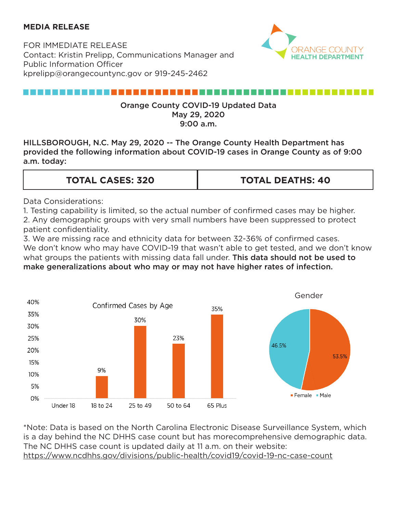### **MEDIA RELEASE**

FOR IMMEDIATE RELEASE Contact: Kristin Prelipp, Communications Manager and Public Information Officer kprelipp@orangecountync.gov or 919-245-2462



# ,,,,,,,,,,,,,,,,,,,,,,,,,,,

#### Orange County COVID-19 Updated Data May 29, 2020 9:00 a.m.

HILLSBOROUGH, N.C. May 29, 2020 -- The Orange County Health Department has provided the following information about COVID-19 cases in Orange County as of 9:00 a.m. today:

| <b>TOTAL CASES: 320</b> | <b>TOTAL DEATHS: 40</b> |
|-------------------------|-------------------------|
|                         |                         |

Data Considerations:

1. Testing capability is limited, so the actual number of confirmed cases may be higher. 2. Any demographic groups with very small numbers have been suppressed to protect patient confidentiality.

3. We are missing race and ethnicity data for between 32-36% of confirmed cases. We don't know who may have COVID-19 that wasn't able to get tested, and we don't know what groups the patients with missing data fall under. This data should not be used to make generalizations about who may or may not have higher rates of infection.



\*Note: Data is based on the North Carolina Electronic Disease Surveillance System, which is a day behind the NC DHHS case count but has morecomprehensive demographic data. The NC DHHS case count is updated daily at 11 a.m. on their website: <https://www.ncdhhs.gov/divisions/public-health/covid19/covid-19-nc-case-count>